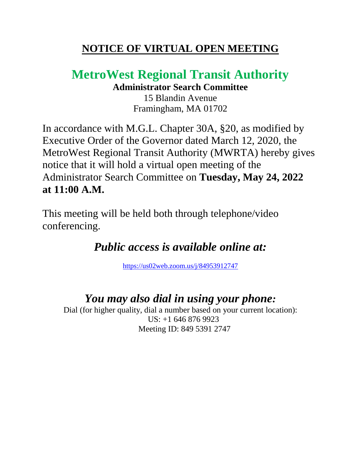### **NOTICE OF VIRTUAL OPEN MEETING**

# **MetroWest Regional Transit Authority**

**Administrator Search Committee**

15 Blandin Avenue Framingham, MA 01702

In accordance with M.G.L. Chapter 30A, §20, as modified by Executive Order of the Governor dated March 12, 2020, the MetroWest Regional Transit Authority (MWRTA) hereby gives notice that it will hold a virtual open meeting of the Administrator Search Committee on **Tuesday, May 24, 2022 at 11:00 A.M.** 

This meeting will be held both through telephone/video conferencing.

## *Public access is available online at:*

<https://us02web.zoom.us/j/84953912747>

#### *You may also dial in using your phone:*

Dial (for higher quality, dial a number based on your current location): US: +1 646 876 9923 Meeting ID: 849 5391 2747